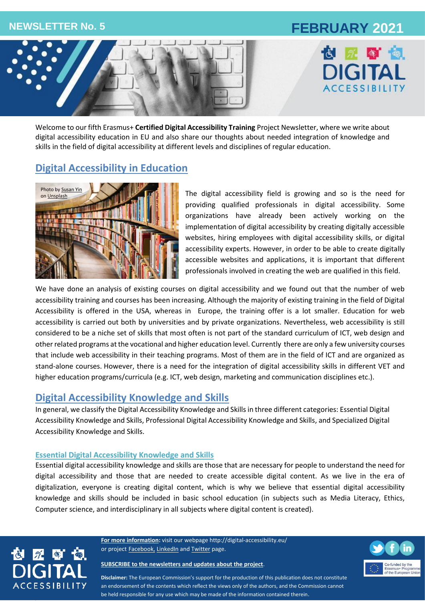# **NEWSLETTER No. 5 FEBRUARY 2021**





Welcome to our fifth Erasmus+ **Certified Digital Accessibility Training** Project Newsletter, where we write about digital accessibility education in EU and also share our thoughts about needed integration of knowledge and skills in the field of digital accessibility at different levels and disciplines of regular education.

## **Digital Accessibility in Education**



The digital accessibility field is growing and so is the need for providing qualified professionals in digital accessibility. Some organizations have already been actively working on the implementation of digital accessibility by creating digitally accessible websites, hiring employees with digital accessibility skills, or digital accessibility experts. However, in order to be able to create digitally accessible websites and applications, it is important that different professionals involved in creating the web are qualified in this field.

We have done an analysis of existing courses on digital accessibility and we found out that the number of web accessibility training and courses has been increasing. Although the majority of existing training in the field of Digital Accessibility is offered in the USA, whereas in Europe, the training offer is a lot smaller. Education for web accessibility is carried out both by universities and by private organizations. Nevertheless, web accessibility is still considered to be a niche set of skills that most often is not part of the standard curriculum of ICT, web design and other related programs at the vocational and higher education level. Currently there are only a few university courses that include web accessibility in their teaching programs. Most of them are in the field of ICT and are organized as stand-alone courses. However, there is a need for the integration of digital accessibility skills in different VET and higher education programs/curricula (e.g. ICT, web design, marketing and communication disciplines etc.).

## **Digital Accessibility Knowledge and Skills**

In general, we classify the Digital Accessibility Knowledge and Skills in three different categories: Essential Digital Accessibility Knowledge and Skills, Professional Digital Accessibility Knowledge and Skills, and Specialized Digital Accessibility Knowledge and Skills.

### **Essential Digital Accessibility Knowledge and Skills**

Essential digital accessibility knowledge and skills are those that are necessary for people to understand the need for digital accessibility and those that are needed to create accessible digital content. As we live in the era of digitalization, everyone is creating digital content, which is why we believe that essential digital accessibility knowledge and skills should be included in basic school education (in subjects such as Media Literacy, Ethics, Computer science, and interdisciplinary in all subjects where digital content is created).



**For more information:** visit our webpage<http://digital-accessibility.eu/> or project **[Facebook,](https://www.facebook.com/digitalaccessibilityproject/) [LinkedIn](https://www.linkedin.com/company/e-digital-accessibility-project-certified-digital-accessibility-training/)** and **Twitter** page.

#### **[SUBSCRIBE to the newsletters and updates about the project](http://eepurl.com/gGyCET)**.



**Disclaimer:** The European Commission's support for the production of this publication does not constitute an endorsement of the contents which reflect the views only of the authors, and the Commission cannot be held responsible for any use which may be made of the information contained therein.